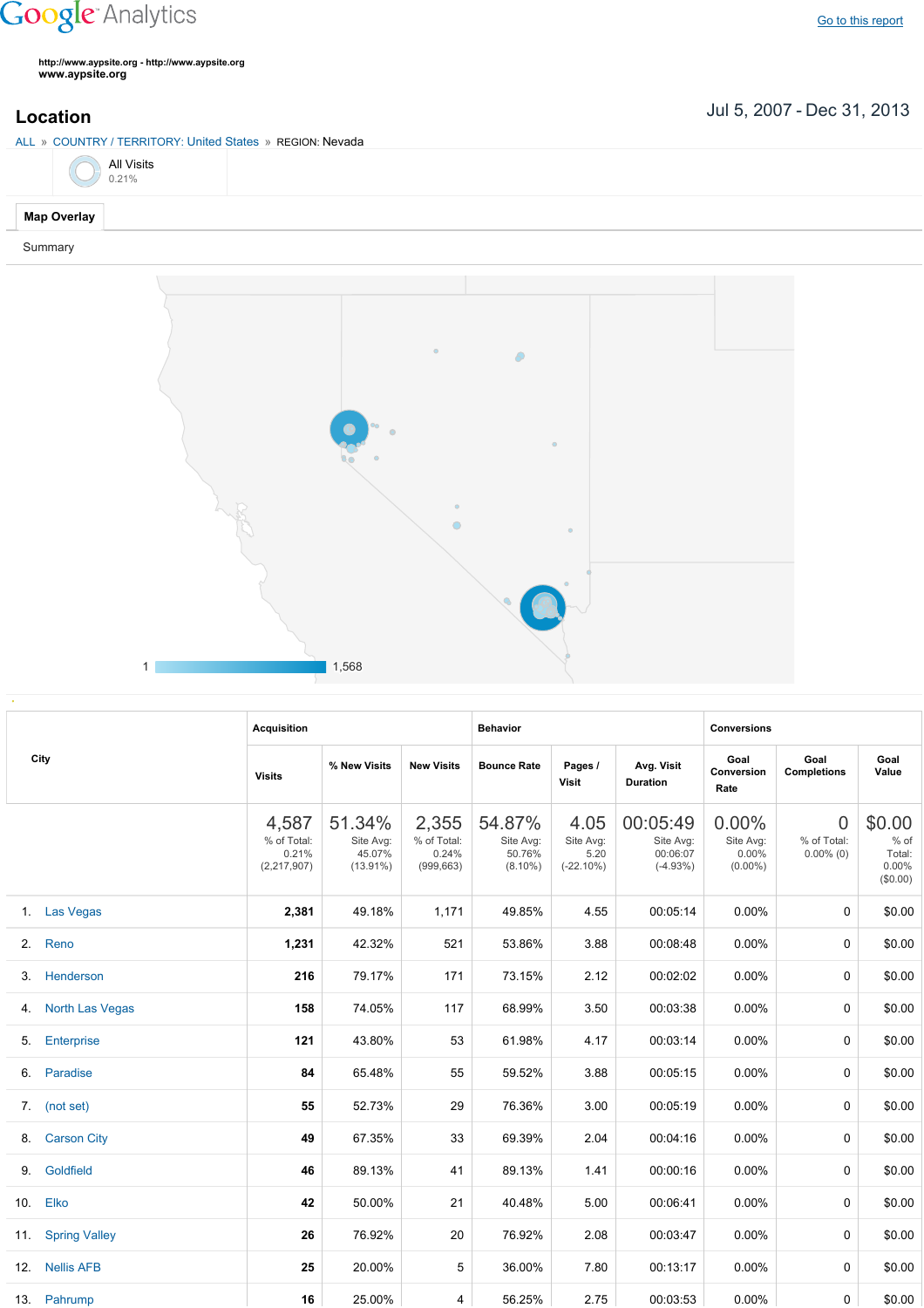## **Google** Analytics

Go to this [report](https://www.google.com/analytics/web/?utm_source=pdfReportLink#report/visitors-geo/a2184169w3912412p4016214/%3F_u.date00%3D20070705%26_u.date01%3D20131231%26geo-table.plotKeys%3D%5B%5D%26geo-table.rowStart%3D0%26geo-table.rowCount%3D500%26_r.drilldown%3Danalytics.country%3AUS%2Canalytics.region%3A21166/)

**http://www.aypsite.org http://www.aypsite.org www.aypsite.org**

## Jul 5, 2007 Dec 31, 2013 **Location**

ALL » COUNTRY / TERRITORY: United States » REGION: Nevada

|  | <b>All Visits</b><br>0.21% |
|--|----------------------------|
|  |                            |

## **Map Overlay**

Summary



| City |                      | <b>Acquisition</b>                             |                                              |                                             | <b>Behavior</b>                             |                                           |                                                 | <b>Conversions</b>                           |                                         |                                                 |  |
|------|----------------------|------------------------------------------------|----------------------------------------------|---------------------------------------------|---------------------------------------------|-------------------------------------------|-------------------------------------------------|----------------------------------------------|-----------------------------------------|-------------------------------------------------|--|
|      |                      | <b>Visits</b>                                  | % New Visits                                 | <b>New Visits</b>                           | <b>Bounce Rate</b>                          | Pages /<br>Visit                          | Avg. Visit<br><b>Duration</b>                   | Goal<br>Conversion<br>Rate                   | Goal<br><b>Completions</b>              | Goal<br>Value                                   |  |
|      |                      | 4,587<br>% of Total:<br>0.21%<br>(2, 217, 907) | 51.34%<br>Site Avg:<br>45.07%<br>$(13.91\%)$ | 2,355<br>% of Total:<br>0.24%<br>(999, 663) | 54.87%<br>Site Avg:<br>50.76%<br>$(8.10\%)$ | 4.05<br>Site Avg:<br>5.20<br>$(-22.10\%)$ | 00:05:49<br>Site Avg:<br>00:06:07<br>$(-4.93%)$ | $0.00\%$<br>Site Avg:<br>0.00%<br>$(0.00\%)$ | $\Omega$<br>% of Total:<br>$0.00\%$ (0) | \$0.00<br>$%$ of<br>Total:<br>0.00%<br>(\$0.00) |  |
|      | 1. Las Vegas         | 2,381                                          | 49.18%                                       | 1,171                                       | 49.85%                                      | 4.55                                      | 00:05:14                                        | 0.00%                                        | 0                                       | \$0.00                                          |  |
| 2.   | Reno                 | 1,231                                          | 42.32%                                       | 521                                         | 53.86%                                      | 3.88                                      | 00:08:48                                        | 0.00%                                        | 0                                       | \$0.00                                          |  |
| 3.   | Henderson            | 216                                            | 79.17%                                       | 171                                         | 73.15%                                      | 2.12                                      | 00:02:02                                        | 0.00%                                        | 0                                       | \$0.00                                          |  |
| 4.   | North Las Vegas      | 158                                            | 74.05%                                       | 117                                         | 68.99%                                      | 3.50                                      | 00:03:38                                        | 0.00%                                        | 0                                       | \$0.00                                          |  |
| 5.   | <b>Enterprise</b>    | 121                                            | 43.80%                                       | 53                                          | 61.98%                                      | 4.17                                      | 00:03:14                                        | 0.00%                                        | 0                                       | \$0.00                                          |  |
| 6.   | Paradise             | 84                                             | 65.48%                                       | 55                                          | 59.52%                                      | 3.88                                      | 00:05:15                                        | 0.00%                                        | 0                                       | \$0.00                                          |  |
|      | 7. (not set)         | 55                                             | 52.73%                                       | 29                                          | 76.36%                                      | 3.00                                      | 00:05:19                                        | 0.00%                                        | 0                                       | \$0.00                                          |  |
| 8.   | <b>Carson City</b>   | 49                                             | 67.35%                                       | 33                                          | 69.39%                                      | 2.04                                      | 00:04:16                                        | 0.00%                                        | 0                                       | \$0.00                                          |  |
| 9.   | Goldfield            | 46                                             | 89.13%                                       | 41                                          | 89.13%                                      | 1.41                                      | 00:00:16                                        | 0.00%                                        | 0                                       | \$0.00                                          |  |
|      | 10. Elko             | 42                                             | 50.00%                                       | 21                                          | 40.48%                                      | 5.00                                      | 00:06:41                                        | 0.00%                                        | 0                                       | \$0.00                                          |  |
| 11.  | <b>Spring Valley</b> | 26                                             | 76.92%                                       | 20                                          | 76.92%                                      | 2.08                                      | 00:03:47                                        | 0.00%                                        | 0                                       | \$0.00                                          |  |
|      | 12. Nellis AFB       | 25                                             | 20.00%                                       | 5                                           | 36.00%                                      | 7.80                                      | 00:13:17                                        | 0.00%                                        | $\Omega$                                | \$0.00                                          |  |
|      | 13. Pahrump          | 16                                             | 25.00%                                       | 4                                           | 56.25%                                      | 2.75                                      | 00:03:53                                        | $0.00\%$                                     | 0                                       | \$0.00                                          |  |